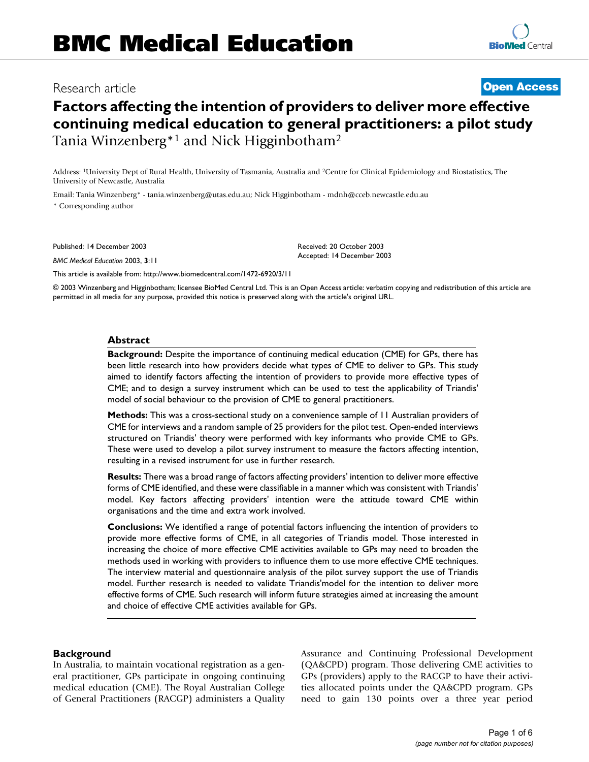## Research article **[Open Access](http://www.biomedcentral.com/info/about/charter/)**

# **Factors affecting the intention of providers to deliver more effective continuing medical education to general practitioners: a pilot study** Tania Winzenberg\*1 and Nick Higginbotham2

Address: <sup>1</sup>University Dept of Rural Health, University of Tasmania, Australia and <sup>2</sup>Centre for Clinical Epidemiology and Biostatistics, The University of Newcastle, Australia

Email: Tania Winzenberg\* - tania.winzenberg@utas.edu.au; Nick Higginbotham - mdnh@cceb.newcastle.edu.au \* Corresponding author

Published: 14 December 2003

*BMC Medical Education* 2003, **3**:11

[This article is available from: http://www.biomedcentral.com/1472-6920/3/11](http://www.biomedcentral.com/1472-6920/3/11)

© 2003 Winzenberg and Higginbotham; licensee BioMed Central Ltd. This is an Open Access article: verbatim copying and redistribution of this article are permitted in all media for any purpose, provided this notice is preserved along with the article's original URL.

Received: 20 October 2003 Accepted: 14 December 2003

#### **Abstract**

**Background:** Despite the importance of continuing medical education (CME) for GPs, there has been little research into how providers decide what types of CME to deliver to GPs. This study aimed to identify factors affecting the intention of providers to provide more effective types of CME; and to design a survey instrument which can be used to test the applicability of Triandis' model of social behaviour to the provision of CME to general practitioners.

**Methods:** This was a cross-sectional study on a convenience sample of 11 Australian providers of CME for interviews and a random sample of 25 providers for the pilot test. Open-ended interviews structured on Triandis' theory were performed with key informants who provide CME to GPs. These were used to develop a pilot survey instrument to measure the factors affecting intention, resulting in a revised instrument for use in further research.

**Results:** There was a broad range of factors affecting providers' intention to deliver more effective forms of CME identified, and these were classifiable in a manner which was consistent with Triandis' model. Key factors affecting providers' intention were the attitude toward CME within organisations and the time and extra work involved.

**Conclusions:** We identified a range of potential factors influencing the intention of providers to provide more effective forms of CME, in all categories of Triandis model. Those interested in increasing the choice of more effective CME activities available to GPs may need to broaden the methods used in working with providers to influence them to use more effective CME techniques. The interview material and questionnaire analysis of the pilot survey support the use of Triandis model. Further research is needed to validate Triandis'model for the intention to deliver more effective forms of CME. Such research will inform future strategies aimed at increasing the amount and choice of effective CME activities available for GPs.

#### **Background**

In Australia, to maintain vocational registration as a general practitioner, GPs participate in ongoing continuing medical education (CME). The Royal Australian College of General Practitioners (RACGP) administers a Quality Assurance and Continuing Professional Development (QA&CPD) program. Those delivering CME activities to GPs (providers) apply to the RACGP to have their activities allocated points under the QA&CPD program. GPs need to gain 130 points over a three year period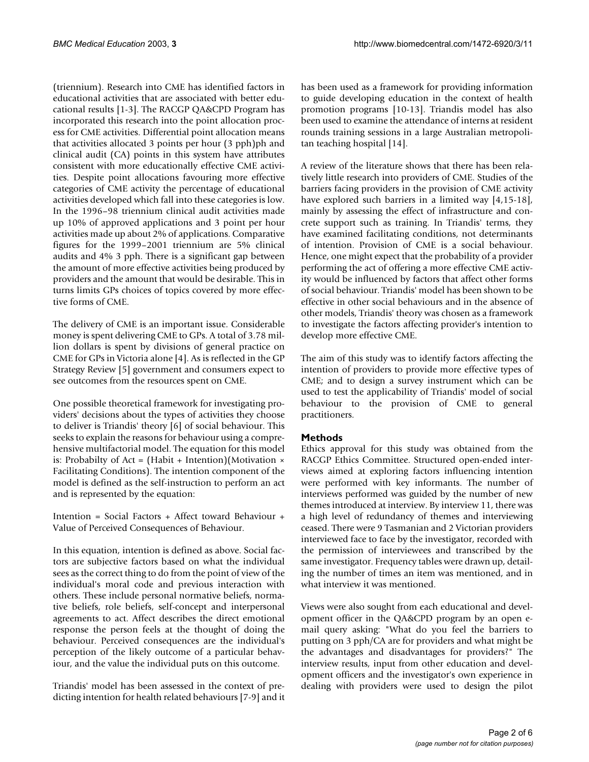(triennium). Research into CME has identified factors in educational activities that are associated with better educational results [1-3]. The RACGP QA&CPD Program has incorporated this research into the point allocation process for CME activities. Differential point allocation means that activities allocated 3 points per hour (3 pph)ph and clinical audit (CA) points in this system have attributes consistent with more educationally effective CME activities. Despite point allocations favouring more effective categories of CME activity the percentage of educational activities developed which fall into these categories is low. In the 1996–98 triennium clinical audit activities made up 10% of approved applications and 3 point per hour activities made up about 2% of applications. Comparative figures for the 1999–2001 triennium are 5% clinical audits and 4% 3 pph. There is a significant gap between the amount of more effective activities being produced by providers and the amount that would be desirable. This in turns limits GPs choices of topics covered by more effective forms of CME.

The delivery of CME is an important issue. Considerable money is spent delivering CME to GPs. A total of 3.78 million dollars is spent by divisions of general practice on CME for GPs in Victoria alone [4]. As is reflected in the GP Strategy Review [5] government and consumers expect to see outcomes from the resources spent on CME.

One possible theoretical framework for investigating providers' decisions about the types of activities they choose to deliver is Triandis' theory [6] of social behaviour. This seeks to explain the reasons for behaviour using a comprehensive multifactorial model. The equation for this model is: Probabilty of Act = (Habit + Intention)(Motivation  $\times$ Facilitating Conditions). The intention component of the model is defined as the self-instruction to perform an act and is represented by the equation:

Intention = Social Factors + Affect toward Behaviour + Value of Perceived Consequences of Behaviour.

In this equation, intention is defined as above. Social factors are subjective factors based on what the individual sees as the correct thing to do from the point of view of the individual's moral code and previous interaction with others. These include personal normative beliefs, normative beliefs, role beliefs, self-concept and interpersonal agreements to act. Affect describes the direct emotional response the person feels at the thought of doing the behaviour. Perceived consequences are the individual's perception of the likely outcome of a particular behaviour, and the value the individual puts on this outcome.

Triandis' model has been assessed in the context of predicting intention for health related behaviours [7-9] and it has been used as a framework for providing information to guide developing education in the context of health promotion programs [10-13]. Triandis model has also been used to examine the attendance of interns at resident rounds training sessions in a large Australian metropolitan teaching hospital [14].

A review of the literature shows that there has been relatively little research into providers of CME. Studies of the barriers facing providers in the provision of CME activity have explored such barriers in a limited way [4,15-18], mainly by assessing the effect of infrastructure and concrete support such as training. In Triandis' terms, they have examined facilitating conditions, not determinants of intention. Provision of CME is a social behaviour. Hence, one might expect that the probability of a provider performing the act of offering a more effective CME activity would be influenced by factors that affect other forms of social behaviour. Triandis' model has been shown to be effective in other social behaviours and in the absence of other models, Triandis' theory was chosen as a framework to investigate the factors affecting provider's intention to develop more effective CME.

The aim of this study was to identify factors affecting the intention of providers to provide more effective types of CME; and to design a survey instrument which can be used to test the applicability of Triandis' model of social behaviour to the provision of CME to general practitioners.

## **Methods**

Ethics approval for this study was obtained from the RACGP Ethics Committee. Structured open-ended interviews aimed at exploring factors influencing intention were performed with key informants. The number of interviews performed was guided by the number of new themes introduced at interview. By interview 11, there was a high level of redundancy of themes and interviewing ceased. There were 9 Tasmanian and 2 Victorian providers interviewed face to face by the investigator, recorded with the permission of interviewees and transcribed by the same investigator. Frequency tables were drawn up, detailing the number of times an item was mentioned, and in what interview it was mentioned.

Views were also sought from each educational and development officer in the QA&CPD program by an open email query asking: "What do you feel the barriers to putting on 3 pph/CA are for providers and what might be the advantages and disadvantages for providers?" The interview results, input from other education and development officers and the investigator's own experience in dealing with providers were used to design the pilot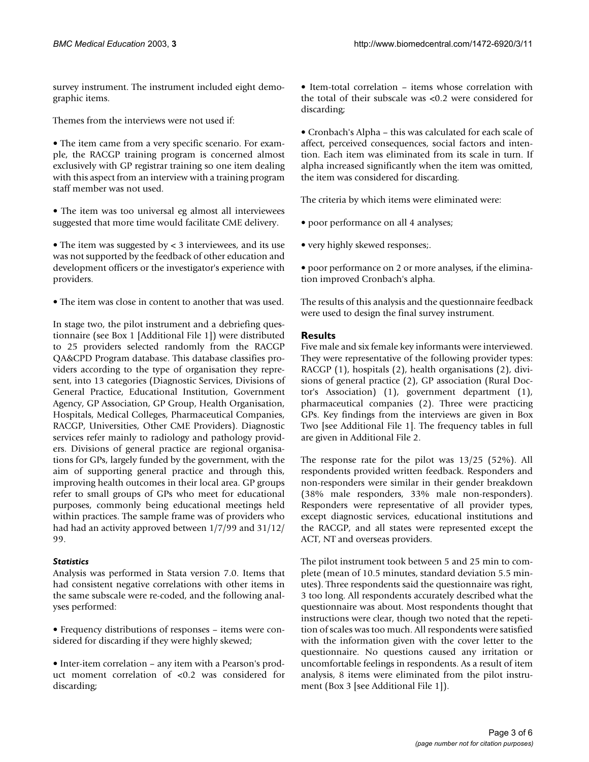survey instrument. The instrument included eight demographic items.

Themes from the interviews were not used if:

• The item came from a very specific scenario. For example, the RACGP training program is concerned almost exclusively with GP registrar training so one item dealing with this aspect from an interview with a training program staff member was not used.

• The item was too universal eg almost all interviewees suggested that more time would facilitate CME delivery.

• The item was suggested by < 3 interviewees, and its use was not supported by the feedback of other education and development officers or the investigator's experience with providers.

• The item was close in content to another that was used.

In stage two, the pilot instrument and a debriefing questionnaire (see Box 1 [Additional File 1]) were distributed to 25 providers selected randomly from the RACGP QA&CPD Program database. This database classifies providers according to the type of organisation they represent, into 13 categories (Diagnostic Services, Divisions of General Practice, Educational Institution, Government Agency, GP Association, GP Group, Health Organisation, Hospitals, Medical Colleges, Pharmaceutical Companies, RACGP, Universities, Other CME Providers). Diagnostic services refer mainly to radiology and pathology providers. Divisions of general practice are regional organisations for GPs, largely funded by the government, with the aim of supporting general practice and through this, improving health outcomes in their local area. GP groups refer to small groups of GPs who meet for educational purposes, commonly being educational meetings held within practices. The sample frame was of providers who had had an activity approved between 1/7/99 and 31/12/ 99.

## *Statistics*

Analysis was performed in Stata version 7.0. Items that had consistent negative correlations with other items in the same subscale were re-coded, and the following analyses performed:

• Frequency distributions of responses – items were considered for discarding if they were highly skewed;

• Inter-item correlation – any item with a Pearson's product moment correlation of <0.2 was considered for discarding;

• Item-total correlation – items whose correlation with the total of their subscale was <0.2 were considered for discarding;

• Cronbach's Alpha – this was calculated for each scale of affect, perceived consequences, social factors and intention. Each item was eliminated from its scale in turn. If alpha increased significantly when the item was omitted, the item was considered for discarding.

The criteria by which items were eliminated were:

- poor performance on all 4 analyses;
- very highly skewed responses;.
- poor performance on 2 or more analyses, if the elimination improved Cronbach's alpha.

The results of this analysis and the questionnaire feedback were used to design the final survey instrument.

## **Results**

Five male and six female key informants were interviewed. They were representative of the following provider types: RACGP (1), hospitals (2), health organisations (2), divisions of general practice (2), GP association (Rural Doctor's Association) (1), government department (1), pharmaceutical companies (2). Three were practicing GPs. Key findings from the interviews are given in Box Two [see Additional File 1]. The frequency tables in full are given in Additional File 2.

The response rate for the pilot was 13/25 (52%). All respondents provided written feedback. Responders and non-responders were similar in their gender breakdown (38% male responders, 33% male non-responders). Responders were representative of all provider types, except diagnostic services, educational institutions and the RACGP, and all states were represented except the ACT, NT and overseas providers.

The pilot instrument took between 5 and 25 min to complete (mean of 10.5 minutes, standard deviation 5.5 minutes). Three respondents said the questionnaire was right, 3 too long. All respondents accurately described what the questionnaire was about. Most respondents thought that instructions were clear, though two noted that the repetition of scales was too much. All respondents were satisfied with the information given with the cover letter to the questionnaire. No questions caused any irritation or uncomfortable feelings in respondents. As a result of item analysis, 8 items were eliminated from the pilot instrument (Box 3 [see Additional File 1]).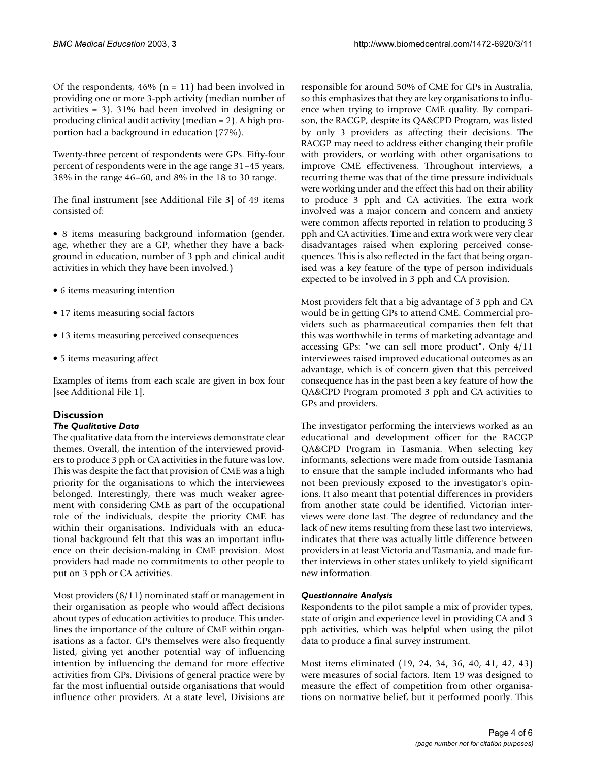Of the respondents,  $46\%$  (n = 11) had been involved in providing one or more 3-pph activity (median number of activities = 3). 31% had been involved in designing or producing clinical audit activity (median = 2). A high proportion had a background in education (77%).

Twenty-three percent of respondents were GPs. Fifty-four percent of respondents were in the age range 31–45 years, 38% in the range 46–60, and 8% in the 18 to 30 range.

The final instrument [see Additional File 3] of 49 items consisted of:

• 8 items measuring background information (gender, age, whether they are a GP, whether they have a background in education, number of 3 pph and clinical audit activities in which they have been involved.)

- 6 items measuring intention
- 17 items measuring social factors
- 13 items measuring perceived consequences
- 5 items measuring affect

Examples of items from each scale are given in box four [see Additional File 1].

## **Discussion**

## *The Qualitative Data*

The qualitative data from the interviews demonstrate clear themes. Overall, the intention of the interviewed providers to produce 3 pph or CA activities in the future was low. This was despite the fact that provision of CME was a high priority for the organisations to which the interviewees belonged. Interestingly, there was much weaker agreement with considering CME as part of the occupational role of the individuals, despite the priority CME has within their organisations. Individuals with an educational background felt that this was an important influence on their decision-making in CME provision. Most providers had made no commitments to other people to put on 3 pph or CA activities.

Most providers (8/11) nominated staff or management in their organisation as people who would affect decisions about types of education activities to produce. This underlines the importance of the culture of CME within organisations as a factor. GPs themselves were also frequently listed, giving yet another potential way of influencing intention by influencing the demand for more effective activities from GPs. Divisions of general practice were by far the most influential outside organisations that would influence other providers. At a state level, Divisions are responsible for around 50% of CME for GPs in Australia, so this emphasizes that they are key organisations to influence when trying to improve CME quality. By comparison, the RACGP, despite its QA&CPD Program, was listed by only 3 providers as affecting their decisions. The RACGP may need to address either changing their profile with providers, or working with other organisations to improve CME effectiveness. Throughout interviews, a recurring theme was that of the time pressure individuals were working under and the effect this had on their ability to produce 3 pph and CA activities. The extra work involved was a major concern and concern and anxiety were common affects reported in relation to producing 3 pph and CA activities. Time and extra work were very clear disadvantages raised when exploring perceived consequences. This is also reflected in the fact that being organised was a key feature of the type of person individuals expected to be involved in 3 pph and CA provision.

Most providers felt that a big advantage of 3 pph and CA would be in getting GPs to attend CME. Commercial providers such as pharmaceutical companies then felt that this was worthwhile in terms of marketing advantage and accessing GPs: "we can sell more product". Only 4/11 interviewees raised improved educational outcomes as an advantage, which is of concern given that this perceived consequence has in the past been a key feature of how the QA&CPD Program promoted 3 pph and CA activities to GPs and providers.

The investigator performing the interviews worked as an educational and development officer for the RACGP QA&CPD Program in Tasmania. When selecting key informants, selections were made from outside Tasmania to ensure that the sample included informants who had not been previously exposed to the investigator's opinions. It also meant that potential differences in providers from another state could be identified. Victorian interviews were done last. The degree of redundancy and the lack of new items resulting from these last two interviews, indicates that there was actually little difference between providers in at least Victoria and Tasmania, and made further interviews in other states unlikely to yield significant new information.

## *Questionnaire Analysis*

Respondents to the pilot sample a mix of provider types, state of origin and experience level in providing CA and 3 pph activities, which was helpful when using the pilot data to produce a final survey instrument.

Most items eliminated (19, 24, 34, 36, 40, 41, 42, 43) were measures of social factors. Item 19 was designed to measure the effect of competition from other organisations on normative belief, but it performed poorly. This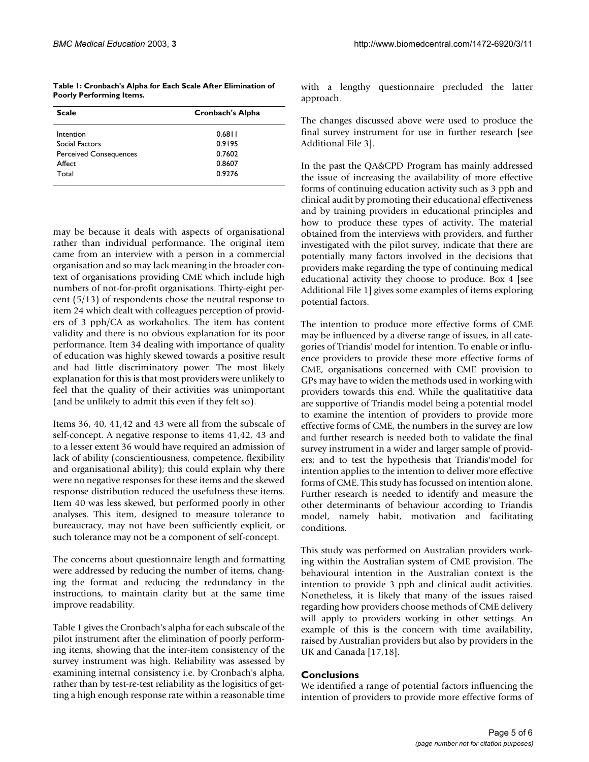<span id="page-4-0"></span>**Table 1: Cronbach's Alpha for Each Scale After Elimination of Poorly Performing Items.**

| <b>Scale</b>                  | <b>Cronbach's Alpha</b> |
|-------------------------------|-------------------------|
| Intention                     | 0.6811                  |
| Social Factors                | 0.9195                  |
| <b>Perceived Consequences</b> | 0.7602                  |
| Affect                        | 0.8607                  |
| Total                         | 0.9276                  |

may be because it deals with aspects of organisational rather than individual performance. The original item came from an interview with a person in a commercial organisation and so may lack meaning in the broader context of organisations providing CME which include high numbers of not-for-profit organisations. Thirty-eight percent (5/13) of respondents chose the neutral response to item 24 which dealt with colleagues perception of providers of 3 pph/CA as workaholics. The item has content validity and there is no obvious explanation for its poor performance. Item 34 dealing with importance of quality of education was highly skewed towards a positive result and had little discriminatory power. The most likely explanation for this is that most providers were unlikely to feel that the quality of their activities was unimportant (and be unlikely to admit this even if they felt so).

Items 36, 40, 41,42 and 43 were all from the subscale of self-concept. A negative response to items 41,42, 43 and to a lesser extent 36 would have required an admission of lack of ability (conscientiousness, competence, flexibility and organisational ability); this could explain why there were no negative responses for these items and the skewed response distribution reduced the usefulness these items. Item 40 was less skewed, but performed poorly in other analyses. This item, designed to measure tolerance to bureaucracy, may not have been sufficiently explicit, or such tolerance may not be a component of self-concept.

The concerns about questionnaire length and formatting were addressed by reducing the number of items, changing the format and reducing the redundancy in the instructions, to maintain clarity but at the same time improve readability.

Table [1](#page-4-0) gives the Cronbach's alpha for each subscale of the pilot instrument after the elimination of poorly performing items, showing that the inter-item consistency of the survey instrument was high. Reliability was assessed by examining internal consistency i.e. by Cronbach's alpha, rather than by test-re-test reliability as the logisitics of getting a high enough response rate within a reasonable time with a lengthy questionnaire precluded the latter approach.

The changes discussed above were used to produce the final survey instrument for use in further research [see Additional File 3].

In the past the QA&CPD Program has mainly addressed the issue of increasing the availability of more effective forms of continuing education activity such as 3 pph and clinical audit by promoting their educational effectiveness and by training providers in educational principles and how to produce these types of activity. The material obtained from the interviews with providers, and further investigated with the pilot survey, indicate that there are potentially many factors involved in the decisions that providers make regarding the type of continuing medical educational activity they choose to produce. Box 4 [see Additional File 1] gives some examples of items exploring potential factors.

The intention to produce more effective forms of CME may be influenced by a diverse range of issues, in all categories of Triandis' model for intention. To enable or influence providers to provide these more effective forms of CME, organisations concerned with CME provision to GPs may have to widen the methods used in working with providers towards this end. While the qualitatitive data are supportive of Triandis model being a potential model to examine the intention of providers to provide more effective forms of CME, the numbers in the survey are low and further research is needed both to validate the final survey instrument in a wider and larger sample of providers; and to test the hypothesis that Triandis'model for intention applies to the intention to deliver more effective forms of CME. This study has focussed on intention alone. Further research is needed to identify and measure the other determinants of behaviour according to Triandis model, namely habit, motivation and facilitating conditions.

This study was performed on Australian providers working within the Australian system of CME provision. The behavioural intention in the Australian context is the intention to provide 3 pph and clinical audit activities. Nonetheless, it is likely that many of the issues raised regarding how providers choose methods of CME delivery will apply to providers working in other settings. An example of this is the concern with time availability, raised by Australian providers but also by providers in the UK and Canada [17,18].

## **Conclusions**

We identified a range of potential factors influencing the intention of providers to provide more effective forms of